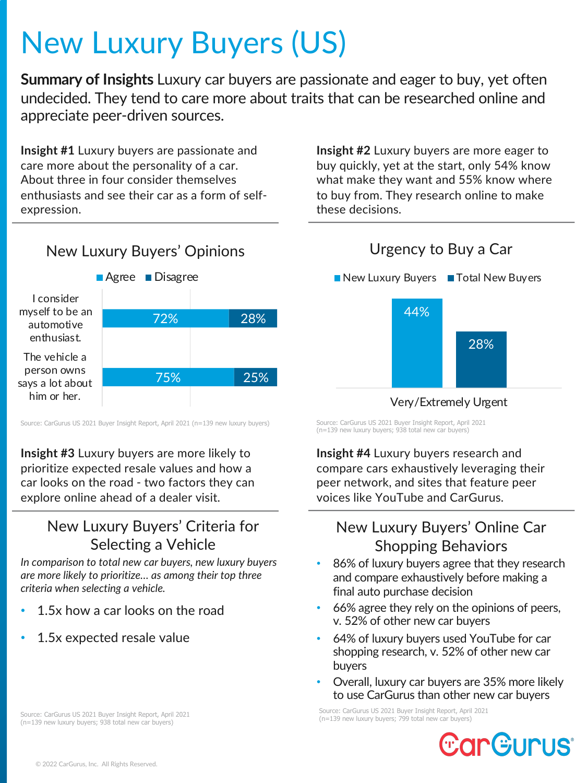# New Luxury Buyers (US)

**Summary of Insights** Luxury car buyers are passionate and eager to buy, yet often undecided. They tend to care more about traits that can be researched online and appreciate peer-driven sources.

**Insight #1** Luxury buyers are passionate and care more about the personality of a car. About three in four consider themselves enthusiasts and see their car as a form of selfexpression.

**Insight #2** Luxury buyers are more eager to buy quickly, yet at the start, only 54% know what make they want and 55% know where to buy from. They research online to make these decisions.



Source: CarGurus US 2021 Buyer Insight Report, April 2021 (n=139 new luxury buyers)

**Insight #3** Luxury buyers are more likely to prioritize expected resale values and how a car looks on the road - two factors they can explore online ahead of a dealer visit.

## New Luxury Buyers' Criteria for Selecting a Vehicle

*In comparison to total new car buyers, new luxury buyers are more likely to prioritize… as among their top three criteria when selecting a vehicle.*

- 1.5x how a car looks on the road
- 1.5x expected resale value

Source: CarGurus US 2021 Buyer Insight Report, April 2021 (n=139 new luxury buyers; 938 total new car buyers)

# Urgency to Buy a Car



#### Very/Extremely Urgent

Source: CarGurus US 2021 Buyer Insight Report, April 2021 (n=139 new luxury buyers; 938 total new car buyers)

**Insight #4** Luxury buyers research and compare cars exhaustively leveraging their peer network, and sites that feature peer voices like YouTube and CarGurus.

## New Luxury Buyers' Online Car Shopping Behaviors

- 86% of luxury buyers agree that they research and compare exhaustively before making a final auto purchase decision
- 66% agree they rely on the opinions of peers, v. 52% of other new car buyers
- 64% of luxury buyers used YouTube for car shopping research, v. 52% of other new car buyers
- Overall, luxury car buyers are 35% more likely to use CarGurus than other new car buyers

Source: CarGurus US 2021 Buyer Insight Report, April 2021 (n=139 new luxury buyers; 799 total new car buyers)